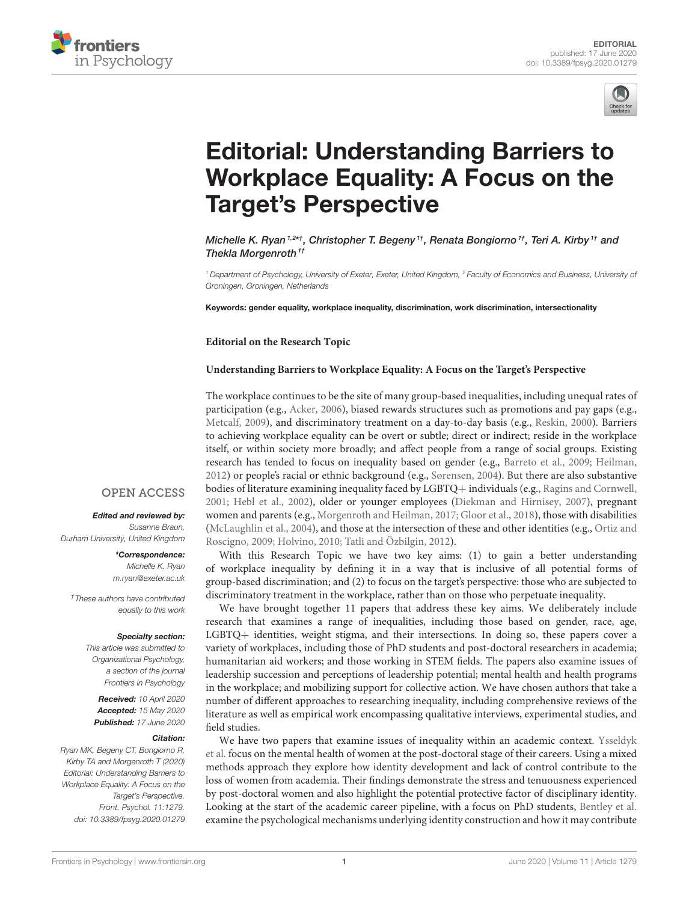



# Editorial: Understanding Barriers to [Workplace Equality: A Focus on the](https://www.frontiersin.org/articles/10.3389/fpsyg.2020.01279/full) Target's Perspective

[Michelle K. Ryan](http://loop.frontiersin.org/people/414225/overview) 1<sup>,2\*†</sup>, [Christopher T. Begeny](http://loop.frontiersin.org/people/483848/overview) <sup>1†</sup>, [Renata Bongiorno](http://loop.frontiersin.org/people/483566/overview) <sup>1†</sup>, [Teri A. Kirby](http://loop.frontiersin.org/people/483815/overview) <sup>1†</sup> and [Thekla Morgenroth](http://loop.frontiersin.org/people/380278/overview)<sup> $1<sup>t</sup>$ </sup>

<sup>1</sup> Department of Psychology, University of Exeter, Exeter, United Kingdom, <sup>2</sup> Faculty of Economics and Business, University of Groningen, Groningen, Netherlands

Keywords: gender equality, workplace inequality, discrimination, work discrimination, intersectionality

**Editorial on the Research Topic**

#### **[Understanding Barriers to Workplace Equality: A Focus on the Target's Perspective](https://www.frontiersin.org/research-topics/6997/understanding-barriers-to-workplace-equality-a-focus-on-the-targets-perspective)**

The workplace continues to be the site of many group-based inequalities, including unequal rates of participation (e.g., [Acker, 2006\)](#page-1-0), biased rewards structures such as promotions and pay gaps (e.g., [Metcalf, 2009\)](#page-2-0), and discriminatory treatment on a day-to-day basis (e.g., [Reskin, 2000\)](#page-2-1). Barriers to achieving workplace equality can be overt or subtle; direct or indirect; reside in the workplace itself, or within society more broadly; and affect people from a range of social groups. Existing research has tended to focus on inequality based on gender (e.g., [Barreto et al., 2009;](#page-1-1) [Heilman,](#page-2-2) [2012\)](#page-2-2) or people's racial or ethnic background (e.g., [Sørensen, 2004\)](#page-2-3). But there are also substantive bodies of literature examining inequality faced by LGBTQ+ individuals (e.g., [Ragins and Cornwell,](#page-2-4) [2001;](#page-2-4) [Hebl et al., 2002\)](#page-2-5), older or younger employees [\(Diekman and Hirnisey, 2007\)](#page-1-2), pregnant women and parents (e.g., [Morgenroth and Heilman, 2017;](#page-2-6) [Gloor et al., 2018\)](#page-2-7), those with disabilities [\(McLaughlin et al., 2004\)](#page-2-8), and those at the intersection of these and other identities (e.g., Ortiz and Roscigno, [2009;](#page-2-9) [Holvino, 2010;](#page-2-10) [Tatli and Özbilgin, 2012\)](#page-2-11).

With this Research Topic we have two key aims: (1) to gain a better understanding of workplace inequality by defining it in a way that is inclusive of all potential forms of group-based discrimination; and (2) to focus on the target's perspective: those who are subjected to discriminatory treatment in the workplace, rather than on those who perpetuate inequality.

We have brought together 11 papers that address these key aims. We deliberately include research that examines a range of inequalities, including those based on gender, race, age, LGBTQ+ identities, weight stigma, and their intersections. In doing so, these papers cover a variety of workplaces, including those of PhD students and post-doctoral researchers in academia; humanitarian aid workers; and those working in STEM fields. The papers also examine issues of leadership succession and perceptions of leadership potential; mental health and health programs in the workplace; and mobilizing support for collective action. We have chosen authors that take a number of different approaches to researching inequality, including comprehensive reviews of the literature as well as empirical work encompassing qualitative interviews, experimental studies, and field studies.

[We have two papers that examine issues of inequality within an academic context.](https://doi.org/10.3389/fpsyg.2019.01297) Ysseldyk et al. focus on the mental health of women at the post-doctoral stage of their careers. Using a mixed methods approach they explore how identity development and lack of control contribute to the loss of women from academia. Their findings demonstrate the stress and tenuousness experienced by post-doctoral women and also highlight the potential protective factor of disciplinary identity. Looking at the start of the academic career pipeline, with a focus on PhD students, [Bentley et al.](https://doi.org/10.3389/fpsyg.2019.00628) examine the psychological mechanisms underlying identity construction and how it may contribute

### **OPEN ACCESS**

#### Edited and reviewed by:

Susanne Braun, Durham University, United Kingdom

> \*Correspondence: Michelle K. Ryan [m.ryan@exeter.ac.uk](mailto:m.ryan@exeter.ac.uk)

†These authors have contributed equally to this work

#### Specialty section:

This article was submitted to Organizational Psychology, a section of the journal Frontiers in Psychology

Received: 10 April 2020 Accepted: 15 May 2020 Published: 17 June 2020

#### Citation:

Ryan MK, Begeny CT, Bongiorno R, Kirby TA and Morgenroth T (2020) Editorial: Understanding Barriers to Workplace Equality: A Focus on the Target's Perspective. Front. Psychol. 11:1279. doi: [10.3389/fpsyg.2020.01279](https://doi.org/10.3389/fpsyg.2020.01279)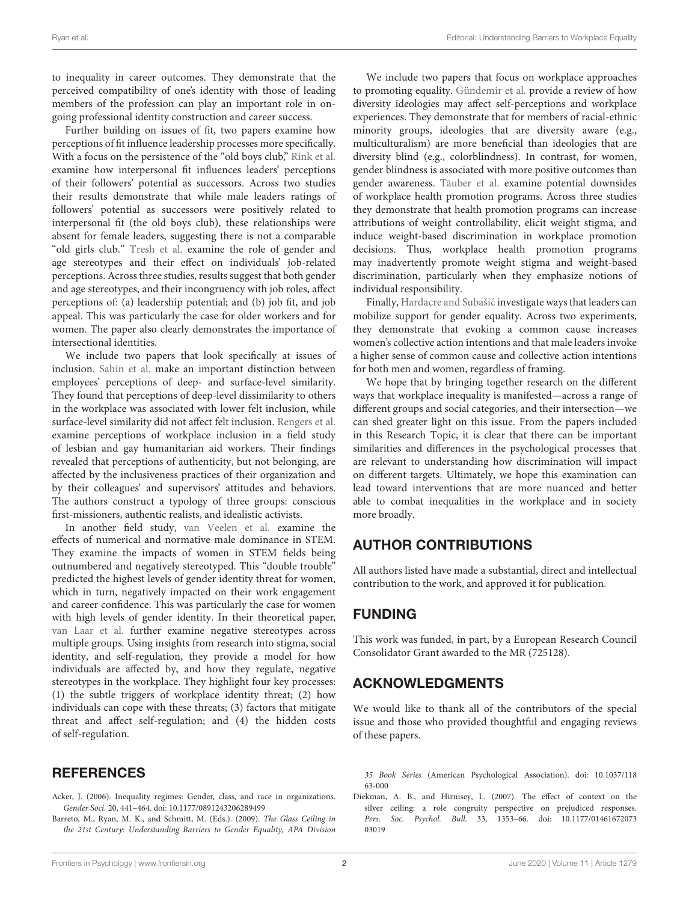to inequality in career outcomes. They demonstrate that the perceived compatibility of one's identity with those of leading members of the profession can play an important role in ongoing professional identity construction and career success.

Further building on issues of fit, two papers examine how perceptions of fit influence leadership processes more specifically. With a focus on the persistence of the "old boys club," [Rink et al.](https://doi.org/10.3389/fpsyg.2019.00752) examine how interpersonal fit influences leaders' perceptions of their followers' potential as successors. Across two studies their results demonstrate that while male leaders ratings of followers' potential as successors were positively related to interpersonal fit (the old boys club), these relationships were absent for female leaders, suggesting there is not a comparable "old girls club." [Tresh et al.](https://doi.org/10.3389/fpsyg.2019.00688) examine the role of gender and age stereotypes and their effect on individuals' job-related perceptions. Across three studies, results suggest that both gender and age stereotypes, and their incongruency with job roles, affect perceptions of: (a) leadership potential; and (b) job fit, and job appeal. This was particularly the case for older workers and for women. The paper also clearly demonstrates the importance of intersectional identities.

We include two papers that look specifically at issues of inclusion. [Sahin et al.](https://doi.org/10.3389/fpsyg.2019.00575) make an important distinction between employees' perceptions of deep- and surface-level similarity. They found that perceptions of deep-level dissimilarity to others in the workplace was associated with lower felt inclusion, while surface-level similarity did not affect felt inclusion. [Rengers et al.](https://doi.org/10.3389/fpsyg.2019.00320) examine perceptions of workplace inclusion in a field study of lesbian and gay humanitarian aid workers. Their findings revealed that perceptions of authenticity, but not belonging, are affected by the inclusiveness practices of their organization and by their colleagues' and supervisors' attitudes and behaviors. The authors construct a typology of three groups: conscious first-missioners, authentic realists, and idealistic activists.

In another field study, [van Veelen et al.](https://doi.org/10.3389/fpsyg.2019.00150) examine the effects of numerical and normative male dominance in STEM. They examine the impacts of women in STEM fields being outnumbered and negatively stereotyped. This "double trouble" predicted the highest levels of gender identity threat for women, which in turn, negatively impacted on their work engagement and career confidence. This was particularly the case for women with high levels of gender identity. In their theoretical paper, [van Laar et al.](https://doi.org/10.3389/fpsyg.2019.01879) further examine negative stereotypes across multiple groups. Using insights from research into stigma, social identity, and self-regulation, they provide a model for how individuals are affected by, and how they regulate, negative stereotypes in the workplace. They highlight four key processes: (1) the subtle triggers of workplace identity threat; (2) how individuals can cope with these threats; (3) factors that mitigate threat and affect self-regulation; and (4) the hidden costs of self-regulation.

## **REFERENCES**

- <span id="page-1-0"></span>Acker, J. (2006). Inequality regimes: Gender, class, and race in organizations. Gender Soci. 20, 441–464. doi: [10.1177/0891243206289499](https://doi.org/10.1177/0891243206289499)
- <span id="page-1-1"></span>Barreto, M., Ryan, M. K., and Schmitt, M. (Eds.). (2009). The Glass Ceiling in the 21st Century: Understanding Barriers to Gender Equality, APA Division

We include two papers that focus on workplace approaches to promoting equality. [Gündemir et al.](https://doi.org/10.3389/fpsyg.2019.00282) provide a review of how diversity ideologies may affect self-perceptions and workplace experiences. They demonstrate that for members of racial-ethnic minority groups, ideologies that are diversity aware (e.g., multiculturalism) are more beneficial than ideologies that are diversity blind (e.g., colorblindness). In contrast, for women, gender blindness is associated with more positive outcomes than gender awareness. [Täuber et al.](https://doi.org/10.3389/fpsyg.2018.02206) examine potential downsides of workplace health promotion programs. Across three studies they demonstrate that health promotion programs can increase attributions of weight controllability, elicit weight stigma, and induce weight-based discrimination in workplace promotion decisions. Thus, workplace health promotion programs may inadvertently promote weight stigma and weight-based discrimination, particularly when they emphasize notions of individual responsibility.

Finally, Hardacre and Subašić investigate ways that leaders can mobilize support for gender equality. Across two experiments, they demonstrate that evoking a common cause increases women's collective action intentions and that male leaders invoke a higher sense of common cause and collective action intentions for both men and women, regardless of framing.

We hope that by bringing together research on the different ways that workplace inequality is manifested—across a range of different groups and social categories, and their intersection—we can shed greater light on this issue. From the papers included in this Research Topic, it is clear that there can be important similarities and differences in the psychological processes that are relevant to understanding how discrimination will impact on different targets. Ultimately, we hope this examination can lead toward interventions that are more nuanced and better able to combat inequalities in the workplace and in society more broadly.

## AUTHOR CONTRIBUTIONS

All authors listed have made a substantial, direct and intellectual contribution to the work, and approved it for publication.

## FUNDING

This work was funded, in part, by a European Research Council Consolidator Grant awarded to the MR (725128).

## ACKNOWLEDGMENTS

We would like to thank all of the contributors of the special issue and those who provided thoughtful and engaging reviews of these papers.

<span id="page-1-2"></span>Diekman, A. B., and Hirnisey, L. (2007). The effect of context on the silver ceiling: a role congruity perspective on prejudiced responses. Pers. Soc. Psychol. Bull. [33, 1353–66. doi: 10.1177/01461672073](https://doi.org/10.1177/0146167207303019) 03019

<sup>35</sup> Book Series [\(American Psychological Association\). doi: 10.1037/118](https://doi.org/10.1037/11863-000) 63-000